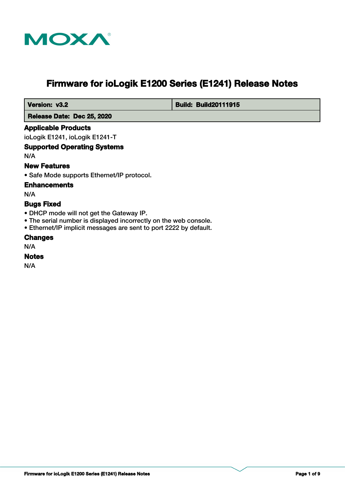

# **Firmware for ioLogik E1200 Series (E1241) Release Notes**

 **Version: v3.2 Build: Build: Build20111915** 

 **Release Date: Dec 25, 2020**

# **Applicable Products**

ioLogik E1241, ioLogik E1241-T

# **Supported Operating Systems**

N/A

# **New Features**

• Safe Mode supports Ethernet/IP protocol.

# **Enhancements**

N/A

# **Bugs Fixed**

- DHCP mode will not get the Gateway IP.
- The serial number is displayed incorrectly on the web console.
- Ethernet/IP implicit messages are sent to port 2222 by default.

# **Changes**

N/A

# **Notes**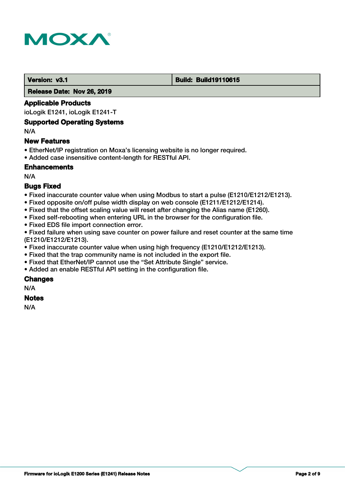

### **Version: v3.1 Build: Build: Build19110615**

 **Release Date: Nov 26, 2019**

# **Applicable Products**

ioLogik E1241, ioLogik E1241-T

# **Supported Operating Systems**

N/A

# **New Features**

- EtherNet/IP registration on Moxa's licensing website is no longer required.
- Added case insensitive content-length for RESTful API.

# **Enhancements**

N/A

# **Bugs Fixed**

- Fixed inaccurate counter value when using Modbus to start a pulse (E1210/E1212/E1213).
- Fixed opposite on/off pulse width display on web console (E1211/E1212/E1214).
- Fixed that the offset scaling value will reset after changing the Alias name (E1260).
- Fixed self-rebooting when entering URL in the browser for the configuration file.
- Fixed EDS file import connection error.

• Fixed failure when using save counter on power failure and reset counter at the same time (E1210/E1212/E1213).

- Fixed inaccurate counter value when using high frequency (E1210/E1212/E1213).
- Fixed that the trap community name is not included in the export file.
- Fixed that EtherNet/IP cannot use the "Set Attribute Single" service.
- Added an enable RESTful API setting in the configuration file.

# **Changes**

N/A

# **Notes**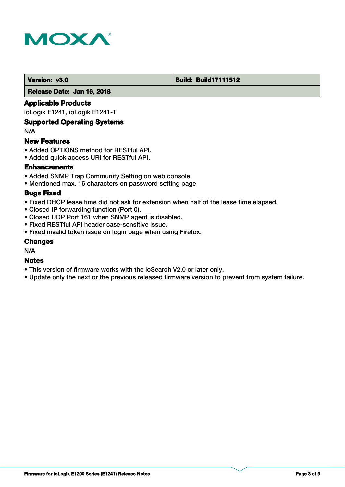

# **Version: v3.0 Build: Build: Build17111512**

 **Release Date: Jan 16, 2018**

# **Applicable Products**

ioLogik E1241, ioLogik E1241-T

# **Supported Operating Systems**

N/A

# **New Features**

- Added OPTIONS method for RESTful API.
- Added quick access URI for RESTful API.

# **Enhancements**

- Added SNMP Trap Community Setting on web console
- Mentioned max. 16 characters on password setting page

# **Bugs Fixed**

- Fixed DHCP lease time did not ask for extension when half of the lease time elapsed.
- Closed IP forwarding function (Port 0).
- Closed UDP Port 161 when SNMP agent is disabled.
- Fixed RESTful API header case-sensitive issue.
- Fixed invalid token issue on login page when using Firefox.

# **Changes**

N/A

# **Notes**

- This version of firmware works with the ioSearch V2.0 or later only.
- Update only the next or the previous released firmware version to prevent from system failure.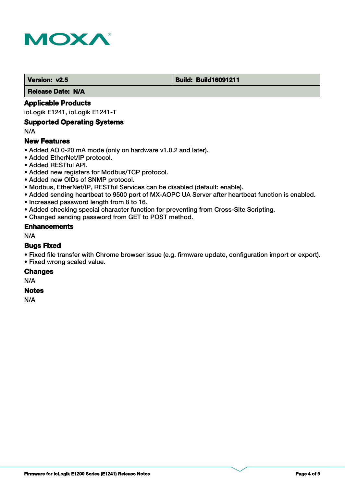

#### **Version: v2.5 Build: Build: Build16091211**

 **Release Date: N/A**

# **Applicable Products**

ioLogik E1241, ioLogik E1241-T

# **Supported Operating Systems**

N/A

# **New Features**

- Added AO 0-20 mA mode (only on hardware v1.0.2 and later).
- Added EtherNet/IP protocol.
- Added RESTful API.
- Added new registers for Modbus/TCP protocol.
- Added new OIDs of SNMP protocol.
- Modbus, EtherNet/IP, RESTful Services can be disabled (default: enable).
- Added sending heartbeat to 9500 port of MX-AOPC UA Server after heartbeat function is enabled.
- Increased password length from 8 to 16.
- Added checking special character function for preventing from Cross-Site Scripting.
- Changed sending password from GET to POST method.

# **Enhancements**

N/A

# **Bugs Fixed**

- Fixed file transfer with Chrome browser issue (e.g. firmware update, configuration import or export).
- Fixed wrong scaled value.

#### **Changes**

N/A

#### **Notes**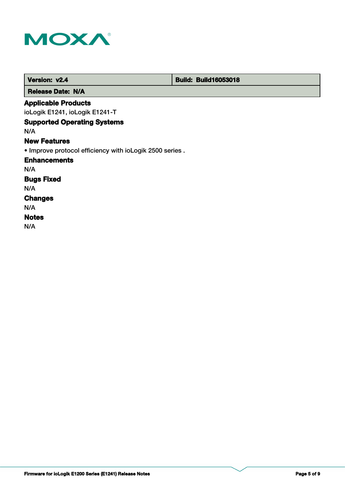

| Version: v2.4                                            | <b>Build: Build16053018</b> |
|----------------------------------------------------------|-----------------------------|
| <b>Release Date: N/A</b>                                 |                             |
| <b>Applicable Products</b>                               |                             |
| ioLogik E1241, ioLogik E1241-T                           |                             |
| <b>Supported Operating Systems</b>                       |                             |
| N/A                                                      |                             |
| <b>New Features</b>                                      |                             |
| . Improve protocol efficiency with ioLogik 2500 series . |                             |
| <b>Enhancements</b>                                      |                             |
| N/A                                                      |                             |
| <b>Bugs Fixed</b>                                        |                             |
| N/A                                                      |                             |
| <b>Changes</b>                                           |                             |
| N/A                                                      |                             |
| <b>Notes</b>                                             |                             |
| N/A                                                      |                             |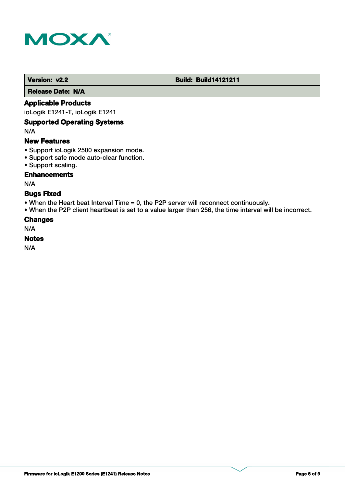

# **Version: v2.2 Build: Build14121211**

 **Release Date: N/A**

# **Applicable Products**

ioLogik E1241-T, ioLogik E1241

# **Supported Operating Systems**

N/A

# **New Features**

- Support ioLogik 2500 expansion mode.
- Support safe mode auto-clear function.
- Support scaling.

# **Enhancements**

N/A

# **Bugs Fixed**

• When the Heart beat Interval Time = 0, the P2P server will reconnect continuously.

• When the P2P client heartbeat is set to a value larger than 256, the time interval will be incorrect.

# **Changes**

N/A

# **Notes**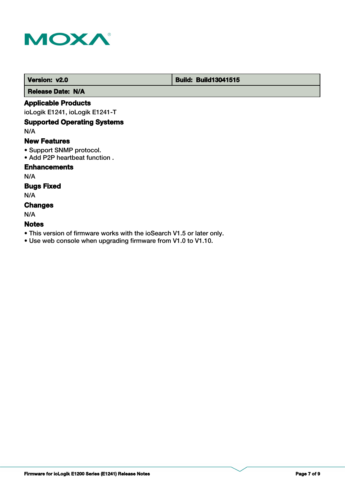

# **Version: v2.0 Build: Build13041515**

 **Release Date: N/A**

# **Applicable Products**

ioLogik E1241, ioLogik E1241-T

# **Supported Operating Systems**

N/A

# **New Features**

- Support SNMP protocol.
- Add P2P heartbeat function .

# **Enhancements**

N/A

# **Bugs Fixed**

N/A

# **Changes**

N/A

# **Notes**

- This version of firmware works with the ioSearch V1.5 or later only.
- Use web console when upgrading firmware from V1.0 to V1.10.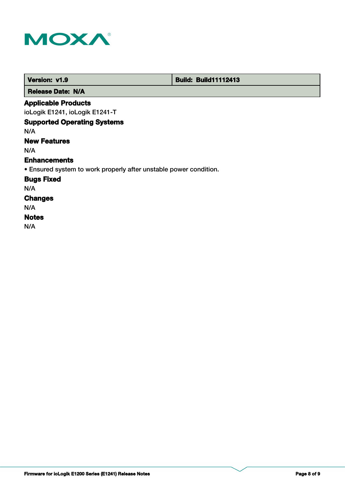

г

| Version: v1.9                                                     | <b>Build: Build11112413</b> |
|-------------------------------------------------------------------|-----------------------------|
| <b>Release Date: N/A</b>                                          |                             |
| <b>Applicable Products</b>                                        |                             |
| ioLogik E1241, ioLogik E1241-T                                    |                             |
| <b>Supported Operating Systems</b>                                |                             |
| N/A                                                               |                             |
| <b>New Features</b>                                               |                             |
| N/A                                                               |                             |
| <b>Enhancements</b>                                               |                             |
| • Ensured system to work properly after unstable power condition. |                             |
| <b>Bugs Fixed</b>                                                 |                             |
| N/A                                                               |                             |
| <b>Changes</b>                                                    |                             |
| N/A                                                               |                             |
| <b>Notes</b>                                                      |                             |
| N/A                                                               |                             |